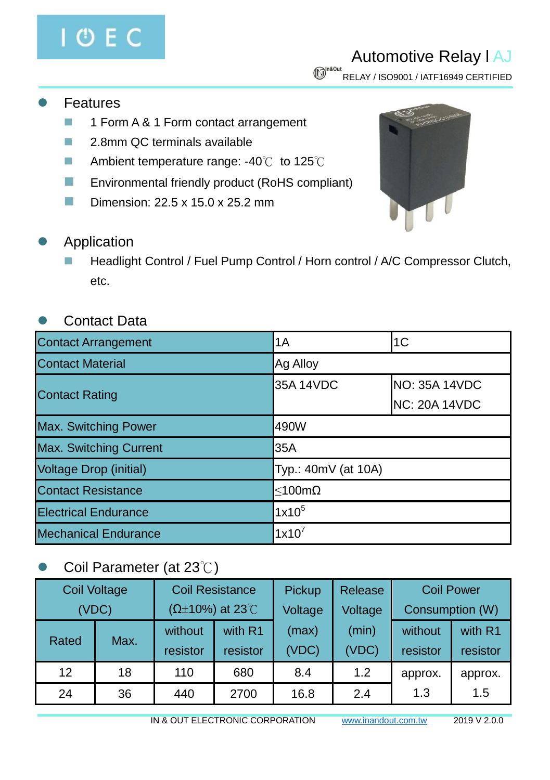# **OEC**

## Automotive Relay l AJ

 $\mathbb{G}^{\text{h8Out}}$  RELAY / ISO9001 / IATF16949 CERTIFIED

- Features
	- **1 Form A & 1 Form contact arrangement**
	- 2.8mm QC terminals available
	- Ambient temperature range: -40℃ to 125℃
	- **Environmental friendly product (RoHS compliant)**
	- Dimension:  $22.5 \times 15.0 \times 25.2 \text{ mm}$



- Application
	- Headlight Control / Fuel Pump Control / Horn control / A/C Compressor Clutch, etc.

#### Contact Data

| <b>Contact Arrangement</b>    | 1A<br>1 <sub>C</sub> |                      |  |  |
|-------------------------------|----------------------|----------------------|--|--|
| <b>Contact Material</b>       | Ag Alloy             |                      |  |  |
| <b>Contact Rating</b>         | 35A 14VDC            | <b>NO: 35A 14VDC</b> |  |  |
|                               |                      | NC: 20A 14VDC        |  |  |
| Max. Switching Power          | 490W                 |                      |  |  |
| <b>Max. Switching Current</b> | 35A                  |                      |  |  |
| <b>Voltage Drop (initial)</b> | Typ.: 40mV (at 10A)  |                      |  |  |
| <b>Contact Resistance</b>     | $<$ 100m $\Omega$    |                      |  |  |
| <b>Electrical Endurance</b>   | $1x10^5$             |                      |  |  |
| <b>Mechanical Endurance</b>   | $1x10^7$             |                      |  |  |

#### Coil Parameter (at 23℃)

| <b>Coil Voltage</b> |       | <b>Coil Resistance</b> |                             | Pickup             | Release |                 | <b>Coil Power</b> |
|---------------------|-------|------------------------|-----------------------------|--------------------|---------|-----------------|-------------------|
|                     | (VDC) |                        | $(\Omega \pm 10\%)$ at 23°C | Voltage<br>Voltage |         | Consumption (W) |                   |
|                     | Max.  | without                | with R1                     | (max)              | (min)   | without         | with R1           |
| Rated               |       | resistor               | resistor                    | <b>VDC)</b>        | (VDC)   | resistor        | resistor          |
| 12                  | 18    | 110                    | 680                         | 8.4                | 1.2     | approx.         | approx.           |
| 24                  | 36    | 440                    | 2700                        | 16.8               | 2.4     | 1.3             | 1.5               |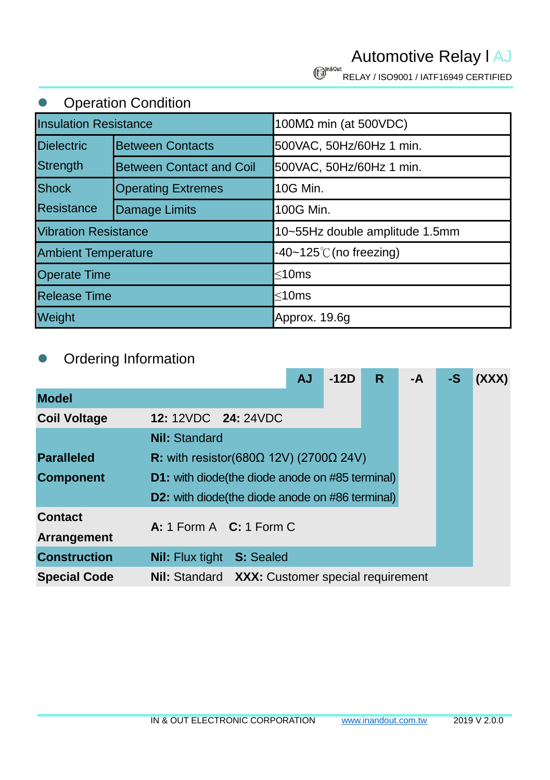Automotive Relay l AJ

**C**<sup>In80ut</sup> RELAY / ISO9001 / IATF16949 CERTIFIED

#### **•** Operation Condition

| <b>Insulation Resistance</b> |                                 | 100MΩ min (at 500VDC)             |  |  |  |
|------------------------------|---------------------------------|-----------------------------------|--|--|--|
| <b>Dielectric</b>            | <b>Between Contacts</b>         | 500VAC, 50Hz/60Hz 1 min.          |  |  |  |
| Strength                     | <b>Between Contact and Coil</b> | 500VAC, 50Hz/60Hz 1 min.          |  |  |  |
| <b>Shock</b>                 | <b>Operating Extremes</b>       | 10G Min.                          |  |  |  |
| Resistance                   | Damage Limits                   | 100G Min.                         |  |  |  |
| <b>Vibration Resistance</b>  |                                 | 10~55Hz double amplitude 1.5mm    |  |  |  |
| <b>Ambient Temperature</b>   |                                 | $-40-125^{\circ}$ C (no freezing) |  |  |  |
| <b>Operate Time</b>          |                                 | $\leq$ 10ms                       |  |  |  |
| <b>Release Time</b>          |                                 | $\leq$ 10ms                       |  |  |  |
| Weight                       |                                 | Approx. 19.6g                     |  |  |  |

#### Ordering Information

|                     |                                                        |                  | <b>AJ</b> | $-12D$ | R. | -A | -S | (XXX) |
|---------------------|--------------------------------------------------------|------------------|-----------|--------|----|----|----|-------|
| <b>Model</b>        |                                                        |                  |           |        |    |    |    |       |
| <b>Coil Voltage</b> | 12: 12VDC 24: 24VDC                                    |                  |           |        |    |    |    |       |
|                     | <b>Nil: Standard</b>                                   |                  |           |        |    |    |    |       |
| <b>Paralleled</b>   | R: with resistor(680 $\Omega$ 12V) (2700 $\Omega$ 24V) |                  |           |        |    |    |    |       |
| <b>Component</b>    | <b>D1:</b> with diode(the diode anode on #85 terminal) |                  |           |        |    |    |    |       |
|                     | <b>D2:</b> with diode(the diode anode on #86 terminal) |                  |           |        |    |    |    |       |
| <b>Contact</b>      |                                                        |                  |           |        |    |    |    |       |
| <b>Arrangement</b>  | A: 1 Form A $C: 1$ Form C                              |                  |           |        |    |    |    |       |
| <b>Construction</b> | <b>Nil:</b> Flux tight                                 | <b>S: Sealed</b> |           |        |    |    |    |       |
| <b>Special Code</b> | <b>Nil:</b> Standard XXX: Customer special requirement |                  |           |        |    |    |    |       |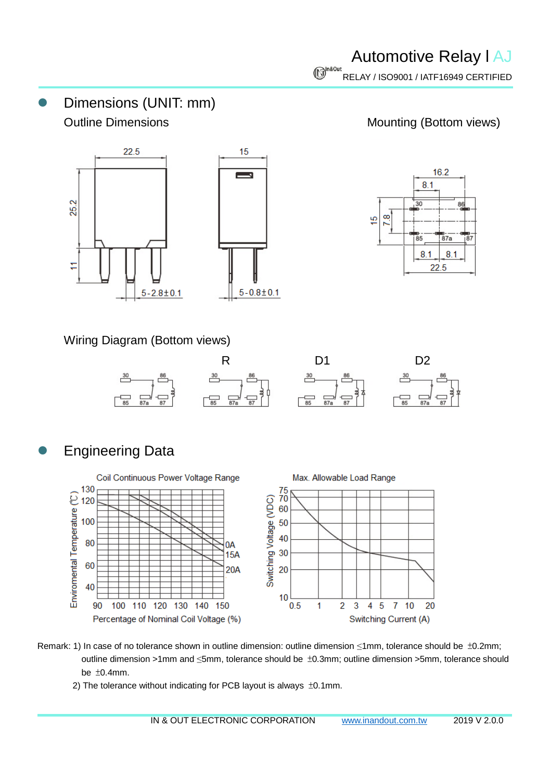Dimensions (UNIT: mm) Outline Dimensions **Mounting** (Bottom views)





Wiring Diagram (Bottom views)



### Engineering Data



- Remark: 1) In case of no tolerance shown in outline dimension: outline dimension ≤1mm, tolerance should be ±0.2mm; outline dimension >1mm and ≤5mm, tolerance should be ±0.3mm; outline dimension >5mm, tolerance should be ±0.4mm.
	- 2) The tolerance without indicating for PCB layout is always ±0.1mm.